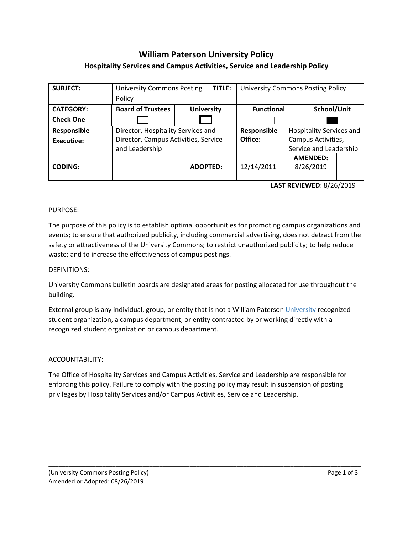# **William Paterson University Policy Hospitality Services and Campus Activities, Service and Leadership Policy**

| <b>SUBJECT:</b>  | <b>University Commons Posting</b>    |                   | TITLE:                          | <b>University Commons Posting Policy</b> |            |                          |                              |  |  |
|------------------|--------------------------------------|-------------------|---------------------------------|------------------------------------------|------------|--------------------------|------------------------------|--|--|
|                  | Policy                               |                   |                                 |                                          |            |                          |                              |  |  |
| <b>CATEGORY:</b> | <b>Board of Trustees</b>             | <b>University</b> |                                 | <b>Functional</b>                        |            |                          | School/Unit                  |  |  |
| <b>Check One</b> |                                      |                   |                                 |                                          |            |                          |                              |  |  |
| Responsible      | Director, Hospitality Services and   |                   |                                 | Responsible                              |            | Hospitality Services and |                              |  |  |
| Executive:       | Director, Campus Activities, Service |                   |                                 | Office:                                  |            |                          | Campus Activities,           |  |  |
|                  | and Leadership                       |                   |                                 |                                          |            |                          | Service and Leadership       |  |  |
| <b>CODING:</b>   |                                      |                   | <b>ADOPTED:</b>                 |                                          | 12/14/2011 |                          | <b>AMENDED:</b><br>8/26/2019 |  |  |
|                  |                                      |                   | <b>LAST REVIEWED: 8/26/2019</b> |                                          |            |                          |                              |  |  |

## PURPOSE:

The purpose of this policy is to establish optimal opportunities for promoting campus organizations and events; to ensure that authorized publicity, including commercial advertising, does not detract from the safety or attractiveness of the University Commons; to restrict unauthorized publicity; to help reduce waste; and to increase the effectiveness of campus postings.

## DEFINITIONS:

University Commons bulletin boards are designated areas for posting allocated for use throughout the building.

External group is any individual, group, or entity that is not a William Paterson University recognized student organization, a campus department, or entity contracted by or working directly with a recognized student organization or campus department.

## ACCOUNTABILITY:

The Office of Hospitality Services and Campus Activities, Service and Leadership are responsible for enforcing this policy. Failure to comply with the posting policy may result in suspension of posting privileges by Hospitality Services and/or Campus Activities, Service and Leadership.

\_\_\_\_\_\_\_\_\_\_\_\_\_\_\_\_\_\_\_\_\_\_\_\_\_\_\_\_\_\_\_\_\_\_\_\_\_\_\_\_\_\_\_\_\_\_\_\_\_\_\_\_\_\_\_\_\_\_\_\_\_\_\_\_\_\_\_\_\_\_\_\_\_\_\_\_\_\_\_\_\_\_\_\_\_\_\_\_\_\_\_\_\_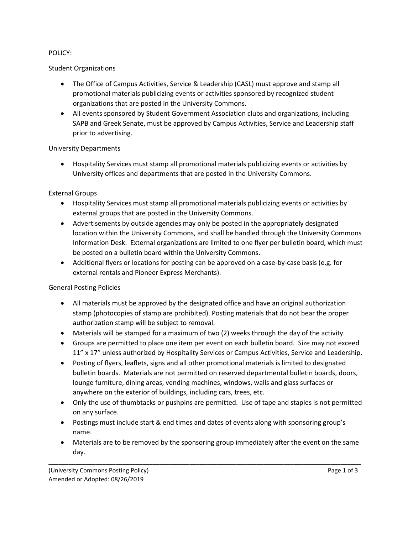## POLICY:

# Student Organizations

- The Office of Campus Activities, Service & Leadership (CASL) must approve and stamp all promotional materials publicizing events or activities sponsored by recognized student organizations that are posted in the University Commons.
- All events sponsored by Student Government Association clubs and organizations, including SAPB and Greek Senate, must be approved by Campus Activities, Service and Leadership staff prior to advertising.

## University Departments

• Hospitality Services must stamp all promotional materials publicizing events or activities by University offices and departments that are posted in the University Commons.

# External Groups

- Hospitality Services must stamp all promotional materials publicizing events or activities by external groups that are posted in the University Commons.
- Advertisements by outside agencies may only be posted in the appropriately designated location within the University Commons, and shall be handled through the University Commons Information Desk. External organizations are limited to one flyer per bulletin board, which must be posted on a bulletin board within the University Commons.
- Additional flyers or locations for posting can be approved on a case-by-case basis (e.g. for external rentals and Pioneer Express Merchants).

# General Posting Policies

- All materials must be approved by the designated office and have an original authorization stamp (photocopies of stamp are prohibited). Posting materials that do not bear the proper authorization stamp will be subject to removal.
- Materials will be stamped for a maximum of two (2) weeks through the day of the activity.
- Groups are permitted to place one item per event on each bulletin board. Size may not exceed 11" x 17" unless authorized by Hospitality Services or Campus Activities, Service and Leadership.
- Posting of flyers, leaflets, signs and all other promotional materials is limited to designated bulletin boards. Materials are not permitted on reserved departmental bulletin boards, doors, lounge furniture, dining areas, vending machines, windows, walls and glass surfaces or anywhere on the exterior of buildings, including cars, trees, etc.
- Only the use of thumbtacks or pushpins are permitted. Use of tape and staples is not permitted on any surface.
- Postings must include start & end times and dates of events along with sponsoring group's name.

**\_\_\_\_\_\_\_\_\_\_\_\_\_\_\_\_\_\_\_\_\_\_\_\_\_\_\_\_\_\_\_\_\_\_\_\_\_\_\_\_\_\_\_\_\_\_\_\_\_\_\_\_\_\_\_\_\_\_\_\_\_\_\_\_\_\_\_\_\_\_\_\_\_\_\_\_\_\_\_\_\_\_\_\_\_\_\_\_\_\_\_\_\_**

• Materials are to be removed by the sponsoring group immediately after the event on the same day.